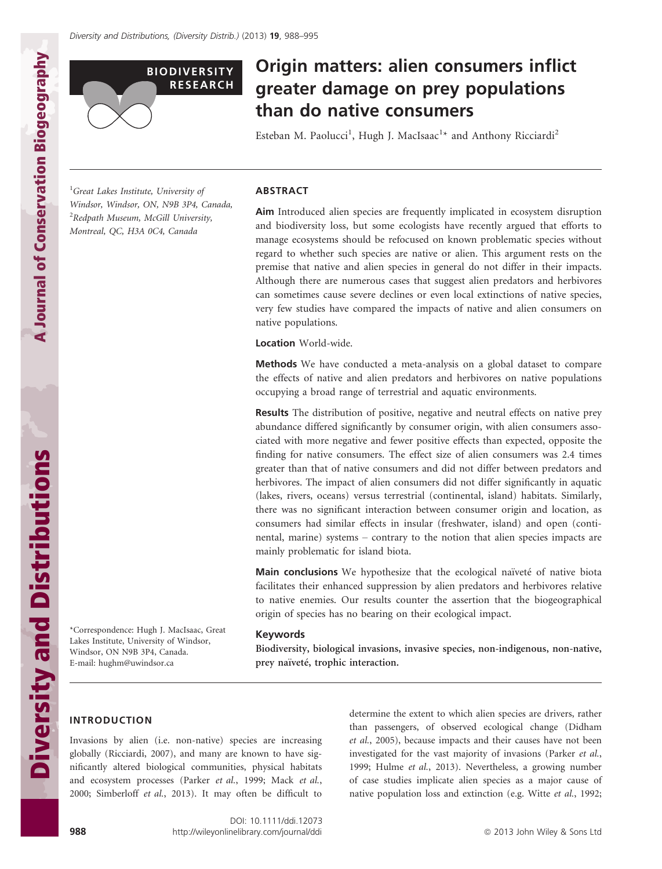

# Origin matters: alien consumers inflict greater damage on prey populations than do native consumers

Esteban M. Paolucci<sup>1</sup>, Hugh J. MacIsaac<sup>1</sup>\* and Anthony Ricciardi<sup>2</sup>

<sup>1</sup>Great Lakes Institute, University of Windsor, Windsor, ON, N9B 3P4, Canada, <sup>2</sup>Redpath Museum, McGill University, Montreal, QC, H3A 0C4, Canada

ABSTRACT

Aim Introduced alien species are frequently implicated in ecosystem disruption and biodiversity loss, but some ecologists have recently argued that efforts to manage ecosystems should be refocused on known problematic species without regard to whether such species are native or alien. This argument rests on the premise that native and alien species in general do not differ in their impacts. Although there are numerous cases that suggest alien predators and herbivores can sometimes cause severe declines or even local extinctions of native species, very few studies have compared the impacts of native and alien consumers on native populations.

Location World-wide.

Methods We have conducted a meta-analysis on a global dataset to compare the effects of native and alien predators and herbivores on native populations occupying a broad range of terrestrial and aquatic environments.

Results The distribution of positive, negative and neutral effects on native prey abundance differed significantly by consumer origin, with alien consumers associated with more negative and fewer positive effects than expected, opposite the finding for native consumers. The effect size of alien consumers was 2.4 times greater than that of native consumers and did not differ between predators and herbivores. The impact of alien consumers did not differ significantly in aquatic (lakes, rivers, oceans) versus terrestrial (continental, island) habitats. Similarly, there was no significant interaction between consumer origin and location, as consumers had similar effects in insular (freshwater, island) and open (continental, marine) systems – contrary to the notion that alien species impacts are mainly problematic for island biota.

Main conclusions We hypothesize that the ecological naïveté of native biota facilitates their enhanced suppression by alien predators and herbivores relative to native enemies. Our results counter the assertion that the biogeographical origin of species has no bearing on their ecological impact.

#### Keywords

Biodiversity, biological invasions, invasive species, non-indigenous, non-native, prey naïveté, trophic interaction.

A Journal of Conservation Biogeography

**A Journal of Conservation Biogeography** 

\*Correspondence: Hugh J. MacIsaac, Great Lakes Institute, University of Windsor, Windsor, ON N9B 3P4, Canada. E-mail: hughm@uwindsor.ca

## INTRODUCTION

Invasions by alien (i.e. non-native) species are increasing globally (Ricciardi, 2007), and many are known to have significantly altered biological communities, physical habitats and ecosystem processes (Parker et al., 1999; Mack et al., 2000; Simberloff et al., 2013). It may often be difficult to

determine the extent to which alien species are drivers, rather than passengers, of observed ecological change (Didham et al., 2005), because impacts and their causes have not been investigated for the vast majority of invasions (Parker et al., 1999; Hulme et al., 2013). Nevertheless, a growing number of case studies implicate alien species as a major cause of native population loss and extinction (e.g. Witte et al., 1992;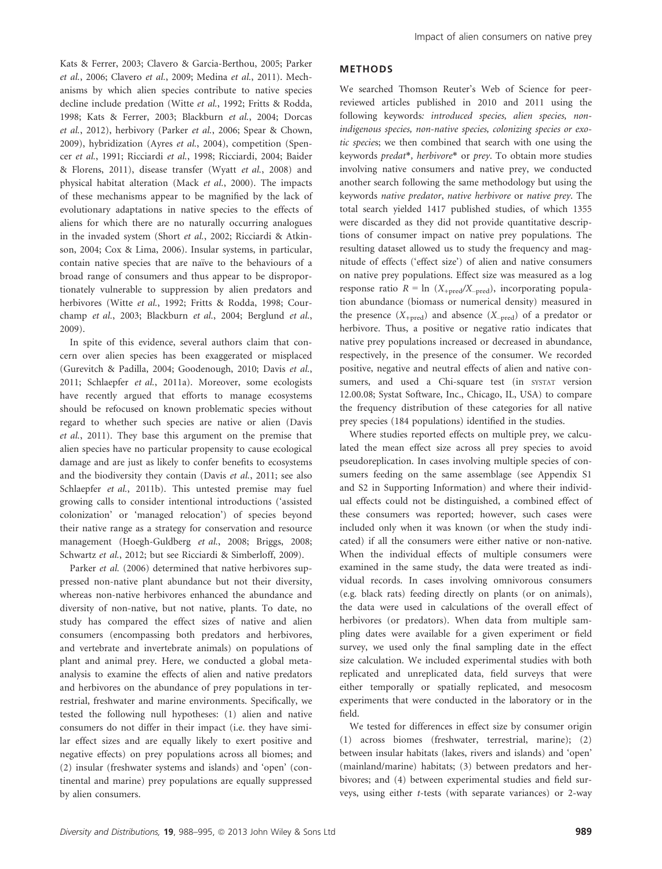Kats & Ferrer, 2003; Clavero & Garcia-Berthou, 2005; Parker et al., 2006; Clavero et al., 2009; Medina et al., 2011). Mechanisms by which alien species contribute to native species decline include predation (Witte et al., 1992; Fritts & Rodda, 1998; Kats & Ferrer, 2003; Blackburn et al., 2004; Dorcas et al., 2012), herbivory (Parker et al., 2006; Spear & Chown, 2009), hybridization (Ayres et al., 2004), competition (Spencer et al., 1991; Ricciardi et al., 1998; Ricciardi, 2004; Baider & Florens, 2011), disease transfer (Wyatt et al., 2008) and physical habitat alteration (Mack et al., 2000). The impacts of these mechanisms appear to be magnified by the lack of evolutionary adaptations in native species to the effects of aliens for which there are no naturally occurring analogues in the invaded system (Short et al., 2002; Ricciardi & Atkinson, 2004; Cox & Lima, 2006). Insular systems, in particular, contain native species that are naïve to the behaviours of a broad range of consumers and thus appear to be disproportionately vulnerable to suppression by alien predators and herbivores (Witte et al., 1992; Fritts & Rodda, 1998; Courchamp et al., 2003; Blackburn et al., 2004; Berglund et al., 2009).

In spite of this evidence, several authors claim that concern over alien species has been exaggerated or misplaced (Gurevitch & Padilla, 2004; Goodenough, 2010; Davis et al., 2011; Schlaepfer et al., 2011a). Moreover, some ecologists have recently argued that efforts to manage ecosystems should be refocused on known problematic species without regard to whether such species are native or alien (Davis et al., 2011). They base this argument on the premise that alien species have no particular propensity to cause ecological damage and are just as likely to confer benefits to ecosystems and the biodiversity they contain (Davis et al., 2011; see also Schlaepfer et al., 2011b). This untested premise may fuel growing calls to consider intentional introductions ('assisted colonization' or 'managed relocation') of species beyond their native range as a strategy for conservation and resource management (Hoegh-Guldberg et al., 2008; Briggs, 2008; Schwartz et al., 2012; but see Ricciardi & Simberloff, 2009).

Parker et al. (2006) determined that native herbivores suppressed non-native plant abundance but not their diversity, whereas non-native herbivores enhanced the abundance and diversity of non-native, but not native, plants. To date, no study has compared the effect sizes of native and alien consumers (encompassing both predators and herbivores, and vertebrate and invertebrate animals) on populations of plant and animal prey. Here, we conducted a global metaanalysis to examine the effects of alien and native predators and herbivores on the abundance of prey populations in terrestrial, freshwater and marine environments. Specifically, we tested the following null hypotheses: (1) alien and native consumers do not differ in their impact (i.e. they have similar effect sizes and are equally likely to exert positive and negative effects) on prey populations across all biomes; and (2) insular (freshwater systems and islands) and 'open' (continental and marine) prey populations are equally suppressed by alien consumers.

#### METHODS

We searched Thomson Reuter's Web of Science for peerreviewed articles published in 2010 and 2011 using the following keywords: introduced species, alien species, nonindigenous species, non-native species, colonizing species or exotic species; we then combined that search with one using the keywords predat\*, herbivore\* or prey. To obtain more studies involving native consumers and native prey, we conducted another search following the same methodology but using the keywords native predator, native herbivore or native prey. The total search yielded 1417 published studies, of which 1355 were discarded as they did not provide quantitative descriptions of consumer impact on native prey populations. The resulting dataset allowed us to study the frequency and magnitude of effects ('effect size') of alien and native consumers on native prey populations. Effect size was measured as a log response ratio  $R = \ln (X_{+pred}/X_{-pred})$ , incorporating population abundance (biomass or numerical density) measured in the presence  $(X_{+pred})$  and absence  $(X_{-pred})$  of a predator or herbivore. Thus, a positive or negative ratio indicates that native prey populations increased or decreased in abundance, respectively, in the presence of the consumer. We recorded positive, negative and neutral effects of alien and native consumers, and used a Chi-square test (in SYSTAT version 12.00.08; Systat Software, Inc., Chicago, IL, USA) to compare the frequency distribution of these categories for all native prey species (184 populations) identified in the studies.

Where studies reported effects on multiple prey, we calculated the mean effect size across all prey species to avoid pseudoreplication. In cases involving multiple species of consumers feeding on the same assemblage (see Appendix S1 and S2 in Supporting Information) and where their individual effects could not be distinguished, a combined effect of these consumers was reported; however, such cases were included only when it was known (or when the study indicated) if all the consumers were either native or non-native. When the individual effects of multiple consumers were examined in the same study, the data were treated as individual records. In cases involving omnivorous consumers (e.g. black rats) feeding directly on plants (or on animals), the data were used in calculations of the overall effect of herbivores (or predators). When data from multiple sampling dates were available for a given experiment or field survey, we used only the final sampling date in the effect size calculation. We included experimental studies with both replicated and unreplicated data, field surveys that were either temporally or spatially replicated, and mesocosm experiments that were conducted in the laboratory or in the field.

We tested for differences in effect size by consumer origin (1) across biomes (freshwater, terrestrial, marine); (2) between insular habitats (lakes, rivers and islands) and 'open' (mainland/marine) habitats; (3) between predators and herbivores; and (4) between experimental studies and field surveys, using either t-tests (with separate variances) or 2-way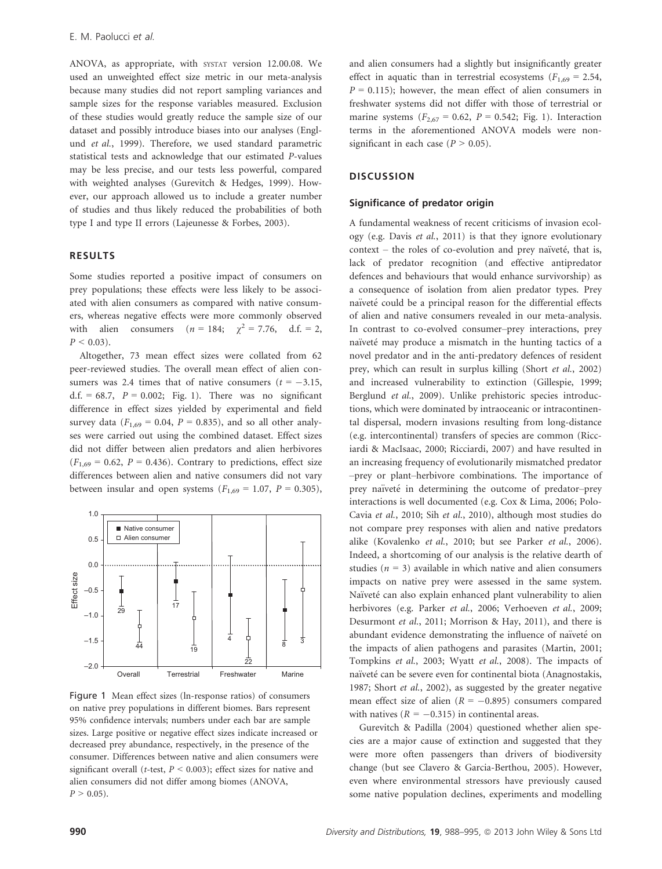ANOVA, as appropriate, with SYSTAT version 12.00.08. We used an unweighted effect size metric in our meta-analysis because many studies did not report sampling variances and sample sizes for the response variables measured. Exclusion of these studies would greatly reduce the sample size of our dataset and possibly introduce biases into our analyses (Englund et al., 1999). Therefore, we used standard parametric statistical tests and acknowledge that our estimated P-values may be less precise, and our tests less powerful, compared with weighted analyses (Gurevitch & Hedges, 1999). However, our approach allowed us to include a greater number of studies and thus likely reduced the probabilities of both type I and type II errors (Lajeunesse & Forbes, 2003).

#### RESULTS

Some studies reported a positive impact of consumers on prey populations; these effects were less likely to be associated with alien consumers as compared with native consumers, whereas negative effects were more commonly observed with alien consumers  $(n = 184; \gamma^2 = 7.76, d.f. = 2,$  $P < 0.03$ ).

Altogether, 73 mean effect sizes were collated from 62 peer-reviewed studies. The overall mean effect of alien consumers was 2.4 times that of native consumers  $(t = -3.15,$ d.f. = 68.7,  $P = 0.002$ ; Fig. 1). There was no significant difference in effect sizes yielded by experimental and field survey data ( $F_{1,69} = 0.04$ ,  $P = 0.835$ ), and so all other analyses were carried out using the combined dataset. Effect sizes did not differ between alien predators and alien herbivores  $(F<sub>1,69</sub> = 0.62, P = 0.436)$ . Contrary to predictions, effect size differences between alien and native consumers did not vary between insular and open systems  $(F<sub>1,69</sub> = 1.07, P = 0.305)$ ,



Figure 1 Mean effect sizes (ln-response ratios) of consumers on native prey populations in different biomes. Bars represent 95% confidence intervals; numbers under each bar are sample sizes. Large positive or negative effect sizes indicate increased or decreased prey abundance, respectively, in the presence of the consumer. Differences between native and alien consumers were significant overall (t-test,  $P < 0.003$ ); effect sizes for native and alien consumers did not differ among biomes (ANOVA,  $P > 0.05$ ).

and alien consumers had a slightly but insignificantly greater effect in aquatic than in terrestrial ecosystems ( $F_{1,69} = 2.54$ ,  $P = 0.115$ ; however, the mean effect of alien consumers in freshwater systems did not differ with those of terrestrial or marine systems ( $F_{2,67} = 0.62$ ,  $P = 0.542$ ; Fig. 1). Interaction terms in the aforementioned ANOVA models were nonsignificant in each case ( $P > 0.05$ ).

#### **DISCUSSION**

#### Significance of predator origin

A fundamental weakness of recent criticisms of invasion ecology (e.g. Davis et al., 2011) is that they ignore evolutionary context – the roles of co-evolution and prey naïveté, that is, lack of predator recognition (and effective antipredator defences and behaviours that would enhance survivorship) as a consequence of isolation from alien predator types. Prey naïveté could be a principal reason for the differential effects of alien and native consumers revealed in our meta-analysis. In contrast to co-evolved consumer–prey interactions, prey naïveté may produce a mismatch in the hunting tactics of a novel predator and in the anti-predatory defences of resident prey, which can result in surplus killing (Short et al., 2002) and increased vulnerability to extinction (Gillespie, 1999; Berglund et al., 2009). Unlike prehistoric species introductions, which were dominated by intraoceanic or intracontinental dispersal, modern invasions resulting from long-distance (e.g. intercontinental) transfers of species are common (Ricciardi & MacIsaac, 2000; Ricciardi, 2007) and have resulted in an increasing frequency of evolutionarily mismatched predator –prey or plant–herbivore combinations. The importance of prey naïveté in determining the outcome of predator-prey interactions is well documented (e.g. Cox & Lima, 2006; Polo-Cavia et al., 2010; Sih et al., 2010), although most studies do not compare prey responses with alien and native predators alike (Kovalenko et al., 2010; but see Parker et al., 2006). Indeed, a shortcoming of our analysis is the relative dearth of studies ( $n = 3$ ) available in which native and alien consumers impacts on native prey were assessed in the same system. Naïveté can also explain enhanced plant vulnerability to alien herbivores (e.g. Parker et al., 2006; Verhoeven et al., 2009; Desurmont et al., 2011; Morrison & Hay, 2011), and there is abundant evidence demonstrating the influence of naïveté on the impacts of alien pathogens and parasites (Martin, 2001; Tompkins et al., 2003; Wyatt et al., 2008). The impacts of naïveté can be severe even for continental biota (Anagnostakis, 1987; Short et al., 2002), as suggested by the greater negative mean effect size of alien ( $R = -0.895$ ) consumers compared with natives ( $R = -0.315$ ) in continental areas.

Gurevitch & Padilla (2004) questioned whether alien species are a major cause of extinction and suggested that they were more often passengers than drivers of biodiversity change (but see Clavero & Garcia-Berthou, 2005). However, even where environmental stressors have previously caused some native population declines, experiments and modelling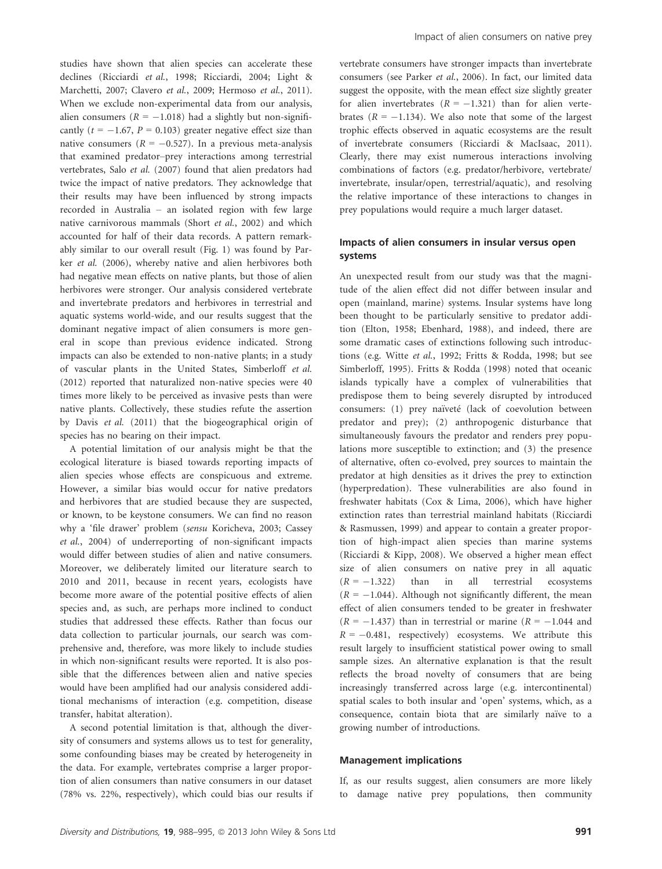studies have shown that alien species can accelerate these declines (Ricciardi et al., 1998; Ricciardi, 2004; Light & Marchetti, 2007; Clavero et al., 2009; Hermoso et al., 2011). When we exclude non-experimental data from our analysis, alien consumers ( $R = -1.018$ ) had a slightly but non-significantly ( $t = -1.67$ ,  $P = 0.103$ ) greater negative effect size than native consumers ( $R = -0.527$ ). In a previous meta-analysis that examined predator–prey interactions among terrestrial vertebrates, Salo et al. (2007) found that alien predators had twice the impact of native predators. They acknowledge that their results may have been influenced by strong impacts recorded in Australia – an isolated region with few large native carnivorous mammals (Short et al., 2002) and which accounted for half of their data records. A pattern remarkably similar to our overall result (Fig. 1) was found by Parker et al. (2006), whereby native and alien herbivores both had negative mean effects on native plants, but those of alien herbivores were stronger. Our analysis considered vertebrate and invertebrate predators and herbivores in terrestrial and aquatic systems world-wide, and our results suggest that the dominant negative impact of alien consumers is more general in scope than previous evidence indicated. Strong impacts can also be extended to non-native plants; in a study of vascular plants in the United States, Simberloff et al. (2012) reported that naturalized non-native species were 40 times more likely to be perceived as invasive pests than were native plants. Collectively, these studies refute the assertion by Davis et al. (2011) that the biogeographical origin of species has no bearing on their impact.

A potential limitation of our analysis might be that the ecological literature is biased towards reporting impacts of alien species whose effects are conspicuous and extreme. However, a similar bias would occur for native predators and herbivores that are studied because they are suspected, or known, to be keystone consumers. We can find no reason why a 'file drawer' problem (sensu Koricheva, 2003; Cassey et al., 2004) of underreporting of non-significant impacts would differ between studies of alien and native consumers. Moreover, we deliberately limited our literature search to 2010 and 2011, because in recent years, ecologists have become more aware of the potential positive effects of alien species and, as such, are perhaps more inclined to conduct studies that addressed these effects. Rather than focus our data collection to particular journals, our search was comprehensive and, therefore, was more likely to include studies in which non-significant results were reported. It is also possible that the differences between alien and native species would have been amplified had our analysis considered additional mechanisms of interaction (e.g. competition, disease transfer, habitat alteration).

A second potential limitation is that, although the diversity of consumers and systems allows us to test for generality, some confounding biases may be created by heterogeneity in the data. For example, vertebrates comprise a larger proportion of alien consumers than native consumers in our dataset (78% vs. 22%, respectively), which could bias our results if vertebrate consumers have stronger impacts than invertebrate consumers (see Parker et al., 2006). In fact, our limited data suggest the opposite, with the mean effect size slightly greater for alien invertebrates  $(R = -1.321)$  than for alien vertebrates ( $R = -1.134$ ). We also note that some of the largest trophic effects observed in aquatic ecosystems are the result of invertebrate consumers (Ricciardi & MacIsaac, 2011). Clearly, there may exist numerous interactions involving combinations of factors (e.g. predator/herbivore, vertebrate/ invertebrate, insular/open, terrestrial/aquatic), and resolving the relative importance of these interactions to changes in prey populations would require a much larger dataset.

# Impacts of alien consumers in insular versus open systems

An unexpected result from our study was that the magnitude of the alien effect did not differ between insular and open (mainland, marine) systems. Insular systems have long been thought to be particularly sensitive to predator addition (Elton, 1958; Ebenhard, 1988), and indeed, there are some dramatic cases of extinctions following such introductions (e.g. Witte et al., 1992; Fritts & Rodda, 1998; but see Simberloff, 1995). Fritts & Rodda (1998) noted that oceanic islands typically have a complex of vulnerabilities that predispose them to being severely disrupted by introduced consumers: (1) prey naïveté (lack of coevolution between predator and prey); (2) anthropogenic disturbance that simultaneously favours the predator and renders prey populations more susceptible to extinction; and (3) the presence of alternative, often co-evolved, prey sources to maintain the predator at high densities as it drives the prey to extinction (hyperpredation). These vulnerabilities are also found in freshwater habitats (Cox & Lima, 2006), which have higher extinction rates than terrestrial mainland habitats (Ricciardi & Rasmussen, 1999) and appear to contain a greater proportion of high-impact alien species than marine systems (Ricciardi & Kipp, 2008). We observed a higher mean effect size of alien consumers on native prey in all aquatic  $(R = -1.322)$  than in all terrestrial ecosystems  $(R = -1.044)$ . Although not significantly different, the mean effect of alien consumers tended to be greater in freshwater  $(R = -1.437)$  than in terrestrial or marine  $(R = -1.044$  and  $R = -0.481$ , respectively) ecosystems. We attribute this result largely to insufficient statistical power owing to small sample sizes. An alternative explanation is that the result reflects the broad novelty of consumers that are being increasingly transferred across large (e.g. intercontinental) spatial scales to both insular and 'open' systems, which, as a consequence, contain biota that are similarly naïve to a growing number of introductions.

# Management implications

If, as our results suggest, alien consumers are more likely to damage native prey populations, then community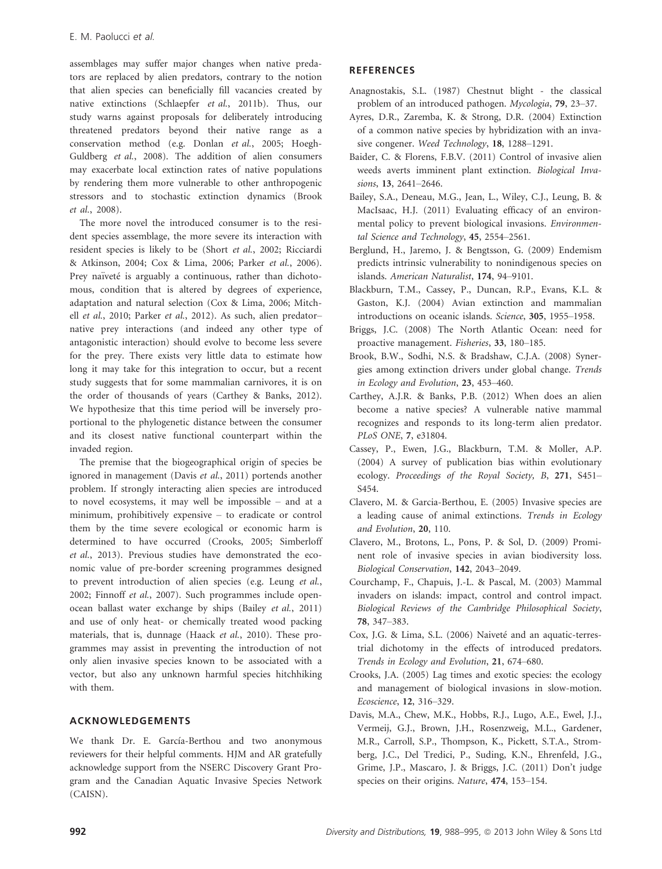assemblages may suffer major changes when native predators are replaced by alien predators, contrary to the notion that alien species can beneficially fill vacancies created by native extinctions (Schlaepfer et al., 2011b). Thus, our study warns against proposals for deliberately introducing threatened predators beyond their native range as a conservation method (e.g. Donlan et al., 2005; Hoegh-Guldberg et al., 2008). The addition of alien consumers may exacerbate local extinction rates of native populations by rendering them more vulnerable to other anthropogenic stressors and to stochastic extinction dynamics (Brook et al., 2008).

The more novel the introduced consumer is to the resident species assemblage, the more severe its interaction with resident species is likely to be (Short et al., 2002; Ricciardi & Atkinson, 2004; Cox & Lima, 2006; Parker et al., 2006). Prey naïveté is arguably a continuous, rather than dichotomous, condition that is altered by degrees of experience, adaptation and natural selection (Cox & Lima, 2006; Mitchell et al., 2010; Parker et al., 2012). As such, alien predatornative prey interactions (and indeed any other type of antagonistic interaction) should evolve to become less severe for the prey. There exists very little data to estimate how long it may take for this integration to occur, but a recent study suggests that for some mammalian carnivores, it is on the order of thousands of years (Carthey & Banks, 2012). We hypothesize that this time period will be inversely proportional to the phylogenetic distance between the consumer and its closest native functional counterpart within the invaded region.

The premise that the biogeographical origin of species be ignored in management (Davis et al., 2011) portends another problem. If strongly interacting alien species are introduced to novel ecosystems, it may well be impossible – and at a minimum, prohibitively expensive – to eradicate or control them by the time severe ecological or economic harm is determined to have occurred (Crooks, 2005; Simberloff et al., 2013). Previous studies have demonstrated the economic value of pre-border screening programmes designed to prevent introduction of alien species (e.g. Leung et al., 2002; Finnoff et al., 2007). Such programmes include openocean ballast water exchange by ships (Bailey et al., 2011) and use of only heat- or chemically treated wood packing materials, that is, dunnage (Haack et al., 2010). These programmes may assist in preventing the introduction of not only alien invasive species known to be associated with a vector, but also any unknown harmful species hitchhiking with them.

## ACKNOWLEDGEMENTS

We thank Dr. E. García-Berthou and two anonymous reviewers for their helpful comments. HJM and AR gratefully acknowledge support from the NSERC Discovery Grant Program and the Canadian Aquatic Invasive Species Network (CAISN).

# **REFERENCES**

- Anagnostakis, S.L. (1987) Chestnut blight the classical problem of an introduced pathogen. Mycologia, 79, 23–37.
- Ayres, D.R., Zaremba, K. & Strong, D.R. (2004) Extinction of a common native species by hybridization with an invasive congener. Weed Technology, 18, 1288–1291.
- Baider, C. & Florens, F.B.V. (2011) Control of invasive alien weeds averts imminent plant extinction. Biological Invasions, 13, 2641–2646.
- Bailey, S.A., Deneau, M.G., Jean, L., Wiley, C.J., Leung, B. & MacIsaac, H.J. (2011) Evaluating efficacy of an environmental policy to prevent biological invasions. Environmental Science and Technology, 45, 2554–2561.
- Berglund, H., Jaremo, J. & Bengtsson, G. (2009) Endemism predicts intrinsic vulnerability to nonindigenous species on islands. American Naturalist, 174, 94–9101.
- Blackburn, T.M., Cassey, P., Duncan, R.P., Evans, K.L. & Gaston, K.J. (2004) Avian extinction and mammalian introductions on oceanic islands. Science, 305, 1955–1958.
- Briggs, J.C. (2008) The North Atlantic Ocean: need for proactive management. Fisheries, 33, 180–185.
- Brook, B.W., Sodhi, N.S. & Bradshaw, C.J.A. (2008) Synergies among extinction drivers under global change. Trends in Ecology and Evolution, 23, 453–460.
- Carthey, A.J.R. & Banks, P.B. (2012) When does an alien become a native species? A vulnerable native mammal recognizes and responds to its long-term alien predator. PLoS ONE, 7, e31804.
- Cassey, P., Ewen, J.G., Blackburn, T.M. & Moller, A.P. (2004) A survey of publication bias within evolutionary ecology. Proceedings of the Royal Society, B, 271, S451– S454.
- Clavero, M. & Garcia-Berthou, E. (2005) Invasive species are a leading cause of animal extinctions. Trends in Ecology and Evolution, 20, 110.
- Clavero, M., Brotons, L., Pons, P. & Sol, D. (2009) Prominent role of invasive species in avian biodiversity loss. Biological Conservation, 142, 2043–2049.
- Courchamp, F., Chapuis, J.-L. & Pascal, M. (2003) Mammal invaders on islands: impact, control and control impact. Biological Reviews of the Cambridge Philosophical Society, 78, 347–383.
- Cox, J.G. & Lima, S.L. (2006) Naiveté and an aquatic-terrestrial dichotomy in the effects of introduced predators. Trends in Ecology and Evolution, 21, 674–680.
- Crooks, J.A. (2005) Lag times and exotic species: the ecology and management of biological invasions in slow-motion. Ecoscience, 12, 316–329.
- Davis, M.A., Chew, M.K., Hobbs, R.J., Lugo, A.E., Ewel, J.J., Vermeij, G.J., Brown, J.H., Rosenzweig, M.L., Gardener, M.R., Carroll, S.P., Thompson, K., Pickett, S.T.A., Stromberg, J.C., Del Tredici, P., Suding, K.N., Ehrenfeld, J.G., Grime, J.P., Mascaro, J. & Briggs, J.C. (2011) Don't judge species on their origins. Nature, 474, 153–154.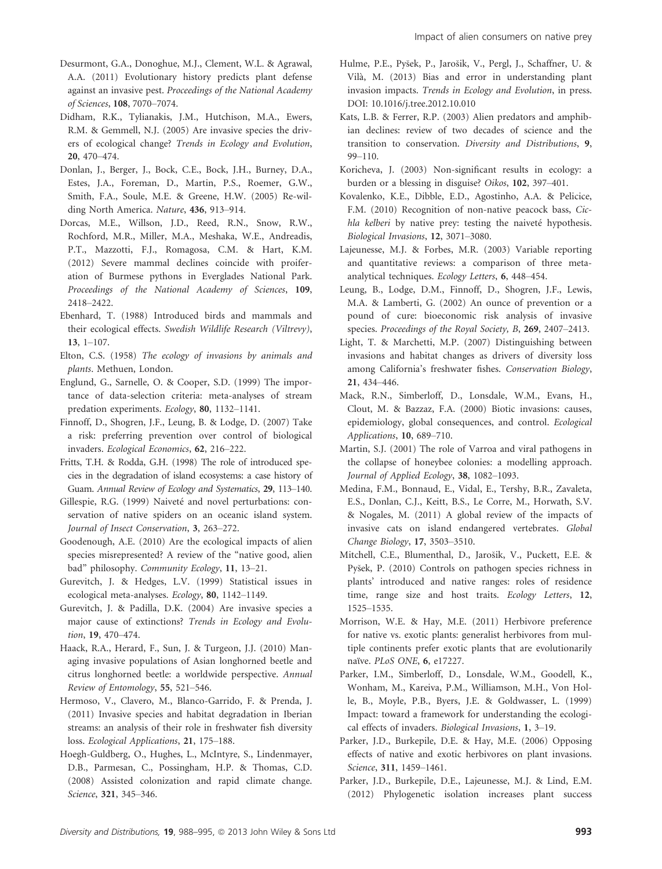- Desurmont, G.A., Donoghue, M.J., Clement, W.L. & Agrawal, A.A. (2011) Evolutionary history predicts plant defense against an invasive pest. Proceedings of the National Academy of Sciences, 108, 7070–7074.
- Didham, R.K., Tylianakis, J.M., Hutchison, M.A., Ewers, R.M. & Gemmell, N.J. (2005) Are invasive species the drivers of ecological change? Trends in Ecology and Evolution, 20, 470–474.
- Donlan, J., Berger, J., Bock, C.E., Bock, J.H., Burney, D.A., Estes, J.A., Foreman, D., Martin, P.S., Roemer, G.W., Smith, F.A., Soule, M.E. & Greene, H.W. (2005) Re-wilding North America. Nature, 436, 913–914.
- Dorcas, M.E., Willson, J.D., Reed, R.N., Snow, R.W., Rochford, M.R., Miller, M.A., Meshaka, W.E., Andreadis, P.T., Mazzotti, F.J., Romagosa, C.M. & Hart, K.M. (2012) Severe mammal declines coincide with proiferation of Burmese pythons in Everglades National Park. Proceedings of the National Academy of Sciences, 109, 2418–2422.
- Ebenhard, T. (1988) Introduced birds and mammals and their ecological effects. Swedish Wildlife Research (Viltrevy), 13, 1–107.
- Elton, C.S. (1958) The ecology of invasions by animals and plants. Methuen, London.
- Englund, G., Sarnelle, O. & Cooper, S.D. (1999) The importance of data-selection criteria: meta-analyses of stream predation experiments. Ecology, 80, 1132–1141.
- Finnoff, D., Shogren, J.F., Leung, B. & Lodge, D. (2007) Take a risk: preferring prevention over control of biological invaders. Ecological Economics, 62, 216–222.
- Fritts, T.H. & Rodda, G.H. (1998) The role of introduced species in the degradation of island ecosystems: a case history of Guam. Annual Review of Ecology and Systematics, 29, 113–140.
- Gillespie, R.G. (1999) Naiveté and novel perturbations: conservation of native spiders on an oceanic island system. Journal of Insect Conservation, 3, 263–272.
- Goodenough, A.E. (2010) Are the ecological impacts of alien species misrepresented? A review of the "native good, alien bad" philosophy. Community Ecology, 11, 13–21.
- Gurevitch, J. & Hedges, L.V. (1999) Statistical issues in ecological meta-analyses. Ecology, 80, 1142–1149.
- Gurevitch, J. & Padilla, D.K. (2004) Are invasive species a major cause of extinctions? Trends in Ecology and Evolution, 19, 470–474.
- Haack, R.A., Herard, F., Sun, J. & Turgeon, J.J. (2010) Managing invasive populations of Asian longhorned beetle and citrus longhorned beetle: a worldwide perspective. Annual Review of Entomology, 55, 521–546.
- Hermoso, V., Clavero, M., Blanco-Garrido, F. & Prenda, J. (2011) Invasive species and habitat degradation in Iberian streams: an analysis of their role in freshwater fish diversity loss. Ecological Applications, 21, 175–188.
- Hoegh-Guldberg, O., Hughes, L., McIntyre, S., Lindenmayer, D.B., Parmesan, C., Possingham, H.P. & Thomas, C.D. (2008) Assisted colonization and rapid climate change. Science, 321, 345–346.
- Hulme, P.E., Pysek, P., Jarosik, V., Pergl, J., Schaffner, U. & Vila, M. (2013) Bias and error in understanding plant invasion impacts. Trends in Ecology and Evolution, in press. DOI: 10.1016/j.tree.2012.10.010
- Kats, L.B. & Ferrer, R.P. (2003) Alien predators and amphibian declines: review of two decades of science and the transition to conservation. Diversity and Distributions, 9, 99–110.
- Koricheva, J. (2003) Non-significant results in ecology: a burden or a blessing in disguise? Oikos, 102, 397–401.
- Kovalenko, K.E., Dibble, E.D., Agostinho, A.A. & Pelicice, F.M. (2010) Recognition of non-native peacock bass, Cichla kelberi by native prey: testing the naiveté hypothesis. Biological Invasions, 12, 3071–3080.
- Lajeunesse, M.J. & Forbes, M.R. (2003) Variable reporting and quantitative reviews: a comparison of three metaanalytical techniques. Ecology Letters, 6, 448–454.
- Leung, B., Lodge, D.M., Finnoff, D., Shogren, J.F., Lewis, M.A. & Lamberti, G. (2002) An ounce of prevention or a pound of cure: bioeconomic risk analysis of invasive species. Proceedings of the Royal Society, B, 269, 2407–2413.
- Light, T. & Marchetti, M.P. (2007) Distinguishing between invasions and habitat changes as drivers of diversity loss among California's freshwater fishes. Conservation Biology, 21, 434–446.
- Mack, R.N., Simberloff, D., Lonsdale, W.M., Evans, H., Clout, M. & Bazzaz, F.A. (2000) Biotic invasions: causes, epidemiology, global consequences, and control. Ecological Applications, 10, 689–710.
- Martin, S.J. (2001) The role of Varroa and viral pathogens in the collapse of honeybee colonies: a modelling approach. Journal of Applied Ecology, 38, 1082–1093.
- Medina, F.M., Bonnaud, E., Vidal, E., Tershy, B.R., Zavaleta, E.S., Donlan, C.J., Keitt, B.S., Le Corre, M., Horwath, S.V. & Nogales, M. (2011) A global review of the impacts of invasive cats on island endangered vertebrates. Global Change Biology, 17, 3503–3510.
- Mitchell, C.E., Blumenthal, D., Jarosik, V., Puckett, E.E. & Pysek, P. (2010) Controls on pathogen species richness in plants' introduced and native ranges: roles of residence time, range size and host traits. Ecology Letters, 12, 1525–1535.
- Morrison, W.E. & Hay, M.E. (2011) Herbivore preference for native vs. exotic plants: generalist herbivores from multiple continents prefer exotic plants that are evolutionarily naϊve. PLoS ONE, 6, e17227.
- Parker, I.M., Simberloff, D., Lonsdale, W.M., Goodell, K., Wonham, M., Kareiva, P.M., Williamson, M.H., Von Holle, B., Moyle, P.B., Byers, J.E. & Goldwasser, L. (1999) Impact: toward a framework for understanding the ecological effects of invaders. Biological Invasions, 1, 3–19.
- Parker, J.D., Burkepile, D.E. & Hay, M.E. (2006) Opposing effects of native and exotic herbivores on plant invasions. Science, 311, 1459–1461.
- Parker, J.D., Burkepile, D.E., Lajeunesse, M.J. & Lind, E.M. (2012) Phylogenetic isolation increases plant success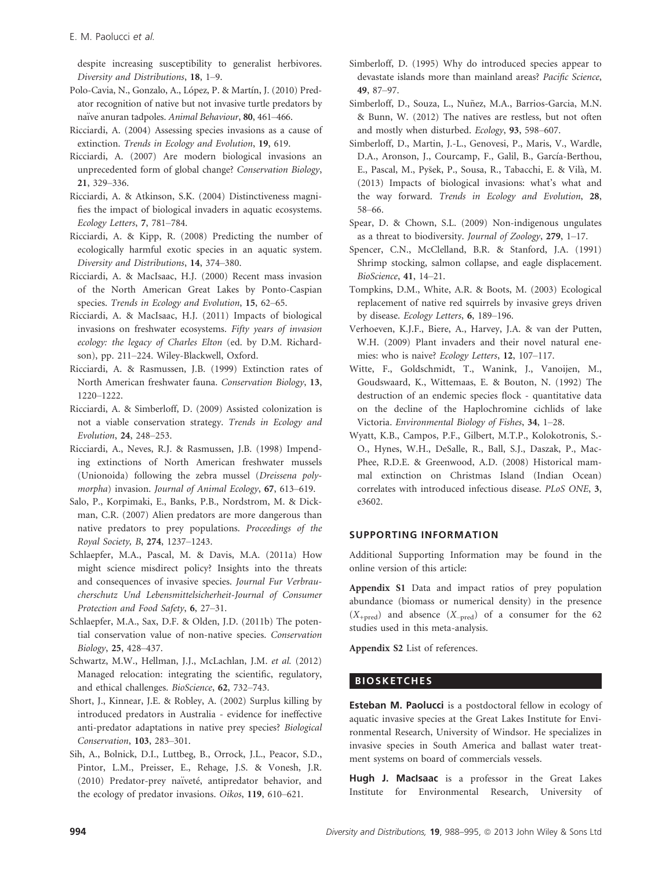despite increasing susceptibility to generalist herbivores. Diversity and Distributions, 18, 1–9.

- Polo-Cavia, N., Gonzalo, A., López, P. & Martín, J. (2010) Predator recognition of native but not invasive turtle predators by naïve anuran tadpoles. Animal Behaviour, 80, 461-466.
- Ricciardi, A. (2004) Assessing species invasions as a cause of extinction. Trends in Ecology and Evolution, 19, 619.
- Ricciardi, A. (2007) Are modern biological invasions an unprecedented form of global change? Conservation Biology, 21, 329–336.
- Ricciardi, A. & Atkinson, S.K. (2004) Distinctiveness magnifies the impact of biological invaders in aquatic ecosystems. Ecology Letters, 7, 781–784.
- Ricciardi, A. & Kipp, R. (2008) Predicting the number of ecologically harmful exotic species in an aquatic system. Diversity and Distributions, 14, 374–380.
- Ricciardi, A. & MacIsaac, H.J. (2000) Recent mass invasion of the North American Great Lakes by Ponto-Caspian species. Trends in Ecology and Evolution, 15, 62–65.
- Ricciardi, A. & MacIsaac, H.J. (2011) Impacts of biological invasions on freshwater ecosystems. Fifty years of invasion ecology: the legacy of Charles Elton (ed. by D.M. Richardson), pp. 211–224. Wiley-Blackwell, Oxford.
- Ricciardi, A. & Rasmussen, J.B. (1999) Extinction rates of North American freshwater fauna. Conservation Biology, 13, 1220–1222.
- Ricciardi, A. & Simberloff, D. (2009) Assisted colonization is not a viable conservation strategy. Trends in Ecology and Evolution, 24, 248–253.
- Ricciardi, A., Neves, R.J. & Rasmussen, J.B. (1998) Impending extinctions of North American freshwater mussels (Unionoida) following the zebra mussel (Dreissena polymorpha) invasion. Journal of Animal Ecology, 67, 613-619.
- Salo, P., Korpimaki, E., Banks, P.B., Nordstrom, M. & Dickman, C.R. (2007) Alien predators are more dangerous than native predators to prey populations. Proceedings of the Royal Society, B, 274, 1237–1243.
- Schlaepfer, M.A., Pascal, M. & Davis, M.A. (2011a) How might science misdirect policy? Insights into the threats and consequences of invasive species. Journal Fur Verbraucherschutz Und Lebensmittelsicherheit-Journal of Consumer Protection and Food Safety, 6, 27–31.
- Schlaepfer, M.A., Sax, D.F. & Olden, J.D. (2011b) The potential conservation value of non-native species. Conservation Biology, 25, 428–437.
- Schwartz, M.W., Hellman, J.J., McLachlan, J.M. et al. (2012) Managed relocation: integrating the scientific, regulatory, and ethical challenges. BioScience, 62, 732–743.
- Short, J., Kinnear, J.E. & Robley, A. (2002) Surplus killing by introduced predators in Australia - evidence for ineffective anti-predator adaptations in native prey species? Biological Conservation, 103, 283–301.
- Sih, A., Bolnick, D.I., Luttbeg, B., Orrock, J.L., Peacor, S.D., Pintor, L.M., Preisser, E., Rehage, J.S. & Vonesh, J.R. (2010) Predator-prey naïveté, antipredator behavior, and the ecology of predator invasions. Oikos, 119, 610–621.
- Simberloff, D. (1995) Why do introduced species appear to devastate islands more than mainland areas? Pacific Science, 49, 87–97.
- Simberloff, D., Souza, L., Nuñez, M.A., Barrios-Garcia, M.N. & Bunn, W. (2012) The natives are restless, but not often and mostly when disturbed. Ecology, 93, 598–607.
- Simberloff, D., Martin, J.-L., Genovesi, P., Maris, V., Wardle, D.A., Aronson, J., Courcamp, F., Galil, B., García-Berthou, E., Pascal, M., Pysek, P., Sousa, R., Tabacchi, E. & Vila, M. (2013) Impacts of biological invasions: what's what and the way forward. Trends in Ecology and Evolution, 28, 58–66.
- Spear, D. & Chown, S.L. (2009) Non-indigenous ungulates as a threat to biodiversity. Journal of Zoology, 279, 1–17.
- Spencer, C.N., McClelland, B.R. & Stanford, J.A. (1991) Shrimp stocking, salmon collapse, and eagle displacement. BioScience, 41, 14–21.
- Tompkins, D.M., White, A.R. & Boots, M. (2003) Ecological replacement of native red squirrels by invasive greys driven by disease. Ecology Letters, 6, 189–196.
- Verhoeven, K.J.F., Biere, A., Harvey, J.A. & van der Putten, W.H. (2009) Plant invaders and their novel natural enemies: who is naive? Ecology Letters, 12, 107–117.
- Witte, F., Goldschmidt, T., Wanink, J., Vanoijen, M., Goudswaard, K., Wittemaas, E. & Bouton, N. (1992) The destruction of an endemic species flock - quantitative data on the decline of the Haplochromine cichlids of lake Victoria. Environmental Biology of Fishes, 34, 1–28.
- Wyatt, K.B., Campos, P.F., Gilbert, M.T.P., Kolokotronis, S.- O., Hynes, W.H., DeSalle, R., Ball, S.J., Daszak, P., Mac-Phee, R.D.E. & Greenwood, A.D. (2008) Historical mammal extinction on Christmas Island (Indian Ocean) correlates with introduced infectious disease. PLoS ONE, 3, e3602.

# SUPPORTING INFORMATION

Additional Supporting Information may be found in the online version of this article:

Appendix S1 Data and impact ratios of prey population abundance (biomass or numerical density) in the presence  $(X_{+pred})$  and absence  $(X_{-pred})$  of a consumer for the 62 studies used in this meta-analysis.

Appendix S2 List of references.

# **BIOSKETCHES**

**Esteban M. Paolucci** is a postdoctoral fellow in ecology of aquatic invasive species at the Great Lakes Institute for Environmental Research, University of Windsor. He specializes in invasive species in South America and ballast water treatment systems on board of commercials vessels.

Hugh J. MacIsaac is a professor in the Great Lakes Institute for Environmental Research, University of